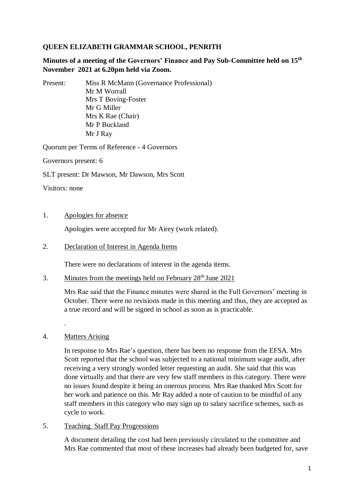# **QUEEN ELIZABETH GRAMMAR SCHOOL, PENRITH**

**Minutes of a meeting of the Governors' Finance and Pay Sub-Committee held on 15th November 2021 at 6.20pm held via Zoom.**

Present: Miss R McMann (Governance Professional) Mr M Worrall Mrs T Boving-Foster Mr G Miller Mrs K Rae (Chair) Mr P Buckland Mr J Ray

Quorum per Terms of Reference - 4 Governors

Governors present: 6

SLT present: Dr Mawson, Mr Dawson, Mrs Scott

Visitors: none

#### 1. Apologies for absence

Apologies were accepted for Mr Airey (work related).

### 2. Declaration of Interest in Agenda Items

There were no declarations of interest in the agenda items.

3. Minutes from the meetings held on February 28th June 2021

Mrs Rae said that the Finance minutes were shared in the Full Governors' meeting in October. There were no revisions made in this meeting and thus, they are accepted as a true record and will be signed in school as soon as is practicable.

# 4. Matters Arising

.

In response to Mrs Rae's question, there has been no response from the EFSA. Mrs Scott reported that the school was subjected to a national minimum wage audit, after receiving a very strongly worded letter requesting an audit. She said that this was done virtually and that there are very few staff members in this category. There were no issues found despite it being an onerous process. Mrs Rae thanked Mrs Scott for her work and patience on this. Mr Ray added a note of caution to be mindful of any staff members in this category who may sign up to salary sacrifice schemes, such as cycle to work.

### 5. Teaching Staff Pay Progressions

A document detailing the cost had been previously circulated to the committee and Mrs Rae commented that most of these increases had already been budgeted for, save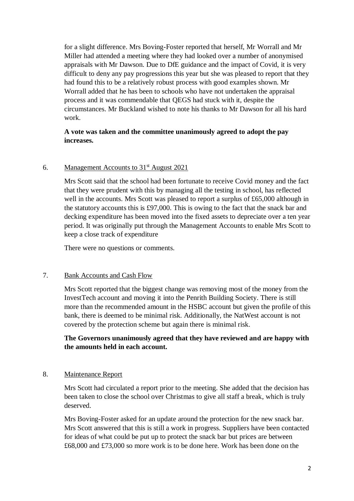for a slight difference. Mrs Boving-Foster reported that herself, Mr Worrall and Mr Miller had attended a meeting where they had looked over a number of anonymised appraisals with Mr Dawson. Due to DfE guidance and the impact of Covid, it is very difficult to deny any pay progressions this year but she was pleased to report that they had found this to be a relatively robust process with good examples shown. Mr Worrall added that he has been to schools who have not undertaken the appraisal process and it was commendable that QEGS had stuck with it, despite the circumstances. Mr Buckland wished to note his thanks to Mr Dawson for all his hard work.

# **A vote was taken and the committee unanimously agreed to adopt the pay increases.**

### 6. Management Accounts to  $31<sup>st</sup>$  August 2021

Mrs Scott said that the school had been fortunate to receive Covid money and the fact that they were prudent with this by managing all the testing in school, has reflected well in the accounts. Mrs Scott was pleased to report a surplus of £65,000 although in the statutory accounts this is £97,000. This is owing to the fact that the snack bar and decking expenditure has been moved into the fixed assets to depreciate over a ten year period. It was originally put through the Management Accounts to enable Mrs Scott to keep a close track of expenditure

There were no questions or comments.

#### 7. Bank Accounts and Cash Flow

Mrs Scott reported that the biggest change was removing most of the money from the InvestTech account and moving it into the Penrith Building Society. There is still more than the recommended amount in the HSBC account but given the profile of this bank, there is deemed to be minimal risk. Additionally, the NatWest account is not covered by the protection scheme but again there is minimal risk.

# **The Governors unanimously agreed that they have reviewed and are happy with the amounts held in each account.**

#### 8. Maintenance Report

Mrs Scott had circulated a report prior to the meeting. She added that the decision has been taken to close the school over Christmas to give all staff a break, which is truly deserved.

Mrs Boving-Foster asked for an update around the protection for the new snack bar. Mrs Scott answered that this is still a work in progress. Suppliers have been contacted for ideas of what could be put up to protect the snack bar but prices are between £68,000 and £73,000 so more work is to be done here. Work has been done on the